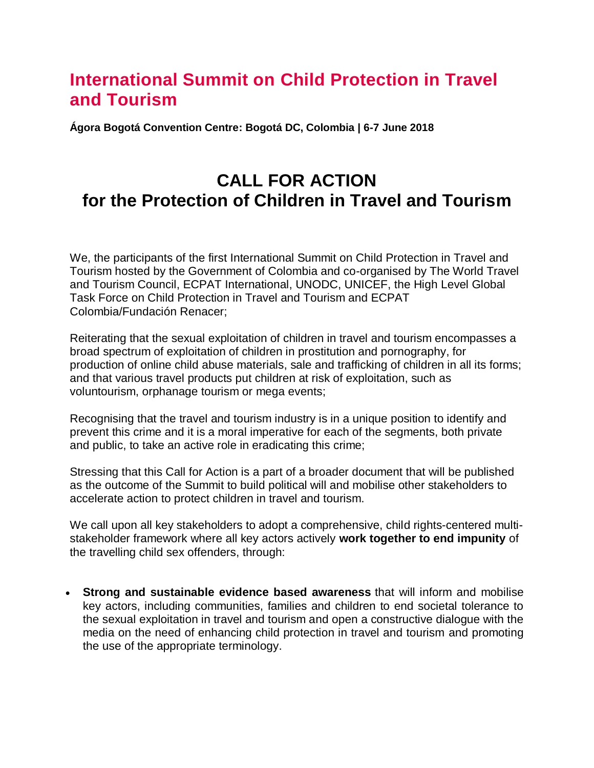# **International Summit on Child Protection in Travel and Tourism**

**Ágora Bogotá Convention Centre: Bogotá DC, Colombia | 6-7 June 2018**

## **CALL FOR ACTION for the Protection of Children in Travel and Tourism**

We, the participants of the first International Summit on Child Protection in Travel and Tourism hosted by the Government of Colombia and co-organised by The World Travel and Tourism Council, ECPAT International, UNODC, UNICEF, the High Level Global Task Force on Child Protection in Travel and Tourism and ECPAT Colombia/Fundación Renacer;

Reiterating that the sexual exploitation of children in travel and tourism encompasses a broad spectrum of exploitation of children in prostitution and pornography, for production of online child abuse materials, sale and trafficking of children in all its forms; and that various travel products put children at risk of exploitation, such as voluntourism, orphanage tourism or mega events;

Recognising that the travel and tourism industry is in a unique position to identify and prevent this crime and it is a moral imperative for each of the segments, both private and public, to take an active role in eradicating this crime;

Stressing that this Call for Action is a part of a broader document that will be published as the outcome of the Summit to build political will and mobilise other stakeholders to accelerate action to protect children in travel and tourism.

We call upon all key stakeholders to adopt a comprehensive, child rights-centered multistakeholder framework where all key actors actively **work together to end impunity** of the travelling child sex offenders, through:

 **Strong and sustainable evidence based awareness** that will inform and mobilise key actors, including communities, families and children to end societal tolerance to the sexual exploitation in travel and tourism and open a constructive dialogue with the media on the need of enhancing child protection in travel and tourism and promoting the use of the appropriate terminology.